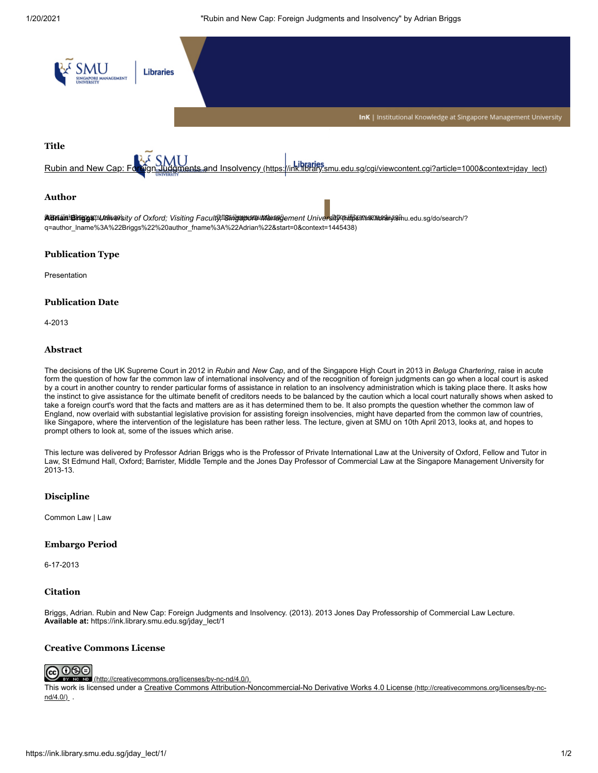1/20/2021 "Rubin and New Cap: Foreign Judgments and Insolvency" by Adrian Briggs



# **Publication Type**

Presentation

# **Publication Date**

4-2013

## **Abstract**

The decisions of the UK Supreme Court in 2012 in *Rubin* and *New Cap*, and of the Singapore High Court in 2013 in *Beluga Chartering*, raise in acute form the question of how far the common law of international insolvency and of the recognition of foreign judgments can go when a local court is asked by a court in another country to render particular forms of assistance in relation to an insolvency administration which is taking place there. It asks how the instinct to give assistance for the ultimate benefit of creditors needs to be balanced by the caution which a local court naturally shows when asked to take a foreign court's word that the facts and matters are as it has determined them to be. It also prompts the question whether the common law of England, now overlaid with substantial legislative provision for assisting foreign insolvencies, might have departed from the common law of countries, like Singapore, where the intervention of the legislature has been rather less. The lecture, given at SMU on 10th April 2013, looks at, and hopes to prompt others to look at, some of the issues which arise.

This lecture was delivered by Professor Adrian Briggs who is the Professor of Private International Law at the University of Oxford, Fellow and Tutor in Law, St Edmund Hall, Oxford; Barrister, Middle Temple and the Jones Day Professor of Commercial Law at the Singapore Management University for 2013-13.

# **Discipline**

Common Law | Law

# **Embargo Period**

6-17-2013

### **Citation**

Briggs, Adrian. Rubin and New Cap: Foreign Judgments and Insolvency. (2013). 2013 Jones Day Professorship of Commercial Law Lecture. **Available at:** https://ink.library.smu.edu.sg/jday\_lect/1

# **Creative Commons License**



**ND** [\(http://creativecommons.org/licenses/by-nc-nd/4.0/\)](http://creativecommons.org/licenses/by-nc-nd/4.0/)

[This work is licensed under a Creative Commons Attribution-Noncommercial-No Derivative Works 4.0 License](http://creativecommons.org/licenses/by-nc-nd/4.0/) (http://creativecommons.org/licenses/by-ncnd/4.0/)